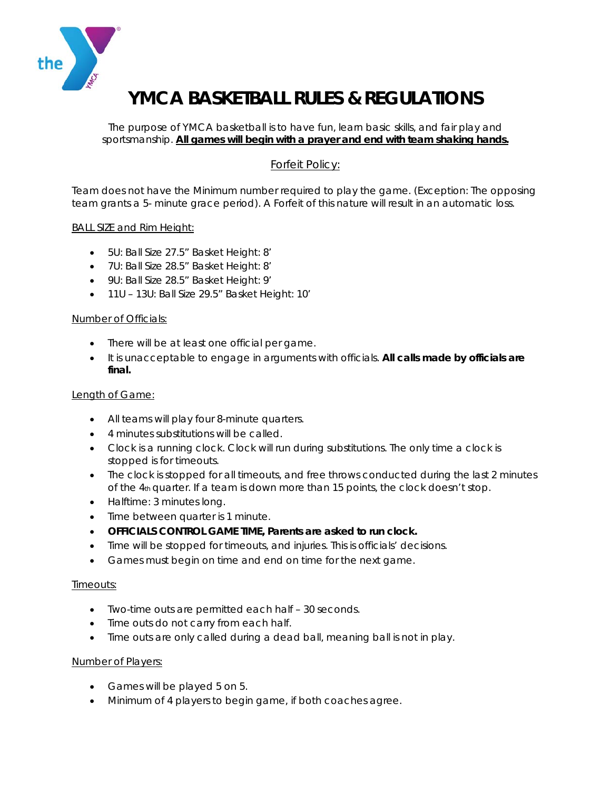

# **YMCA BASKETBALL RULES & REGULATIONS**

The purpose of YMCA basketball is to have fun, learn basic skills, and fair play and sportsmanship. **All games will begin with a prayer and end with team shaking hands.** 

## Forfeit Policy:

Team does not have the Minimum number required to play the game. (Exception: The opposing team grants a 5- minute grace period). A Forfeit of this nature will result in an automatic loss.

### BALL SIZE and Rim Height:

- 5U: Ball Size 27.5" Basket Height: 8'
- 7U: Ball Size 28.5" Basket Height: 8'
- 9U: Ball Size 28.5" Basket Height: 9'
- 11U 13U: Ball Size 29.5" Basket Height: 10'

#### Number of Officials:

- There will be at least one official per game.
- It is unacceptable to engage in arguments with officials. **All calls made by officials are final.**

## Length of Game:

- All teams will play four 8-minute quarters.
- 4 minutes substitutions will be called.
- Clock is a running clock. Clock will run during substitutions. The only time a clock is stopped is for timeouts.
- The clock is stopped for all timeouts, and free throws conducted during the last 2 minutes of the  $4<sub>th</sub>$  quarter. If a team is down more than 15 points, the clock doesn't stop.
- Halftime: 3 minutes long.
- Time between quarter is 1 minute.
- **OFFICIALS CONTROL GAME TIME, Parents are asked to run clock.**
- Time will be stopped for timeouts, and injuries. This is officials' decisions.
- Games must begin on time and end on time for the next game.

#### Timeouts:

- Two-time outs are permitted each half 30 seconds.
- Time outs do not carry from each half.
- Time outs are only called during a dead ball, meaning ball is not in play.

#### Number of Players:

- Games will be played 5 on 5.
- Minimum of 4 players to begin game, if both coaches agree.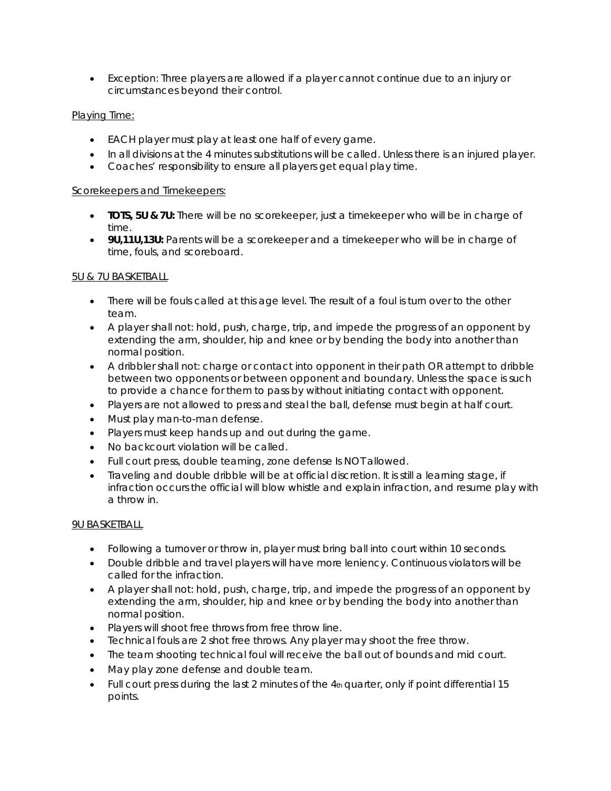Exception: Three players are allowed if a player cannot continue due to an injury or circumstances beyond their control.

## Playing Time:

- EACH player must play at least one half of every game.
- In all divisions at the 4 minutes substitutions will be called. Unless there is an injured player.
- Coaches' responsibility to ensure all players get equal play time.

## Scorekeepers and Timekeepers:

- **TOTS, 5U & 7U:** There will be no scorekeeper, just a timekeeper who will be in charge of time.
- **9U,11U,13U:** Parents will be a scorekeeper and a timekeeper who will be in charge of time, fouls, and scoreboard.

## 5U & 7U BASKETBALL

- There will be fouls called at this age level. The result of a foul is turn over to the other team.
- A player shall not: hold, push, charge, trip, and impede the progress of an opponent by extending the arm, shoulder, hip and knee or by bending the body into another than normal position.
- A dribbler shall not: charge or contact into opponent in their path OR attempt to dribble between two opponents or between opponent and boundary. Unless the space is such to provide a chance for them to pass by without initiating contact with opponent.
- Players are not allowed to press and steal the ball, defense must begin at half court.
- Must play man-to-man defense.
- Players must keep hands up and out during the game.
- No backcourt violation will be called.
- Full court press, double teaming, zone defense Is NOT allowed.
- Traveling and double dribble will be at official discretion. It is still a learning stage, if infraction occurs the official will blow whistle and explain infraction, and resume play with a throw in.

## 9U BASKETBALL

- Following a turnover or throw in, player must bring ball into court within 10 seconds.
- Double dribble and travel players will have more leniency. Continuous violators will be called for the infraction.
- A player shall not: hold, push, charge, trip, and impede the progress of an opponent by extending the arm, shoulder, hip and knee or by bending the body into another than normal position.
- Players will shoot free throws from free throw line.
- Technical fouls are 2 shot free throws. Any player may shoot the free throw.
- The team shooting technical foul will receive the ball out of bounds and mid court.
- May play zone defense and double team.
- $\bullet$  Full court press during the last 2 minutes of the  $4<sub>th</sub>$  quarter, only if point differential 15 points.